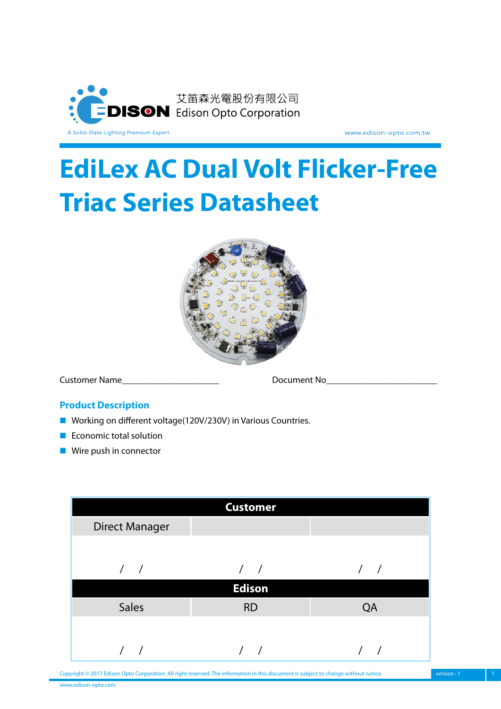

www.edison-opto.com.tw

# **EdiLex AC Dual Volt Flicker-Free Triac Series Datasheet**



Customer Name **Customer Name** 

#### **Product Description**

- Working on different voltage(120V/230V) in Various Countries.
- Economic total solution
- Wire push in connector

|                       | <b>Customer</b> |    |
|-----------------------|-----------------|----|
| <b>Direct Manager</b> |                 |    |
|                       |                 |    |
|                       |                 |    |
|                       | <b>Edison</b>   |    |
| <b>Sales</b>          | <b>RD</b>       | QA |
|                       |                 |    |
|                       |                 |    |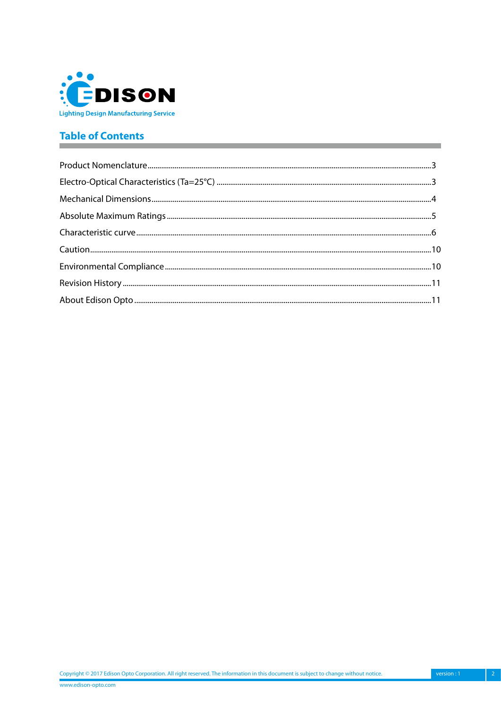

# **Table of Contents**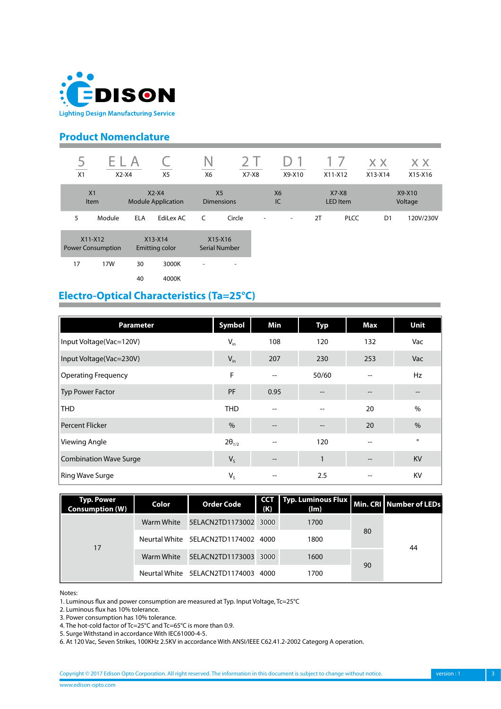<span id="page-2-0"></span>

## **Product Nomenclature**

| $\overline{c}$<br>X1 | ь.<br>$X2-X4$                         |            | X5                                   | Ν<br>X6                             | $X7-X8$                  |   | X9-X10                   | $X11-X12$ |                     | X X<br>$X13-X14$ | X X<br>X15-X16    |
|----------------------|---------------------------------------|------------|--------------------------------------|-------------------------------------|--------------------------|---|--------------------------|-----------|---------------------|------------------|-------------------|
|                      | X <sub>1</sub><br><b>Item</b>         |            | $X2-X4$<br><b>Module Application</b> | X <sub>5</sub><br><b>Dimensions</b> |                          |   | <b>X6</b><br>IC          |           | $X7-X8$<br>LED Item |                  | X9-X10<br>Voltage |
| 5                    | Module                                | <b>ELA</b> | EdiLex AC                            | C                                   | Circle                   | - | $\overline{\phantom{a}}$ | 2T        | <b>PLCC</b>         | D <sub>1</sub>   | 120V/230V         |
|                      | $X11-X12$<br><b>Power Consumption</b> |            | $X13-X14$<br>Emitting color          | X15-X16<br><b>Serial Number</b>     |                          |   |                          |           |                     |                  |                   |
| 17                   | 17W                                   | 30         | 3000K                                | ٠                                   | $\overline{\phantom{a}}$ |   |                          |           |                     |                  |                   |
|                      |                                       | 40         | 4000K                                |                                     |                          |   |                          |           |                     |                  |                   |

## **Electro-Optical Characteristics (Ta=25°C)**

| <b>Parameter</b>              | Symbol          | Min                                 | <b>Typ</b>                            | Max | Unit          |
|-------------------------------|-----------------|-------------------------------------|---------------------------------------|-----|---------------|
| Input Voltage(Vac=120V)       | $V_{in}$        | 108                                 | 120                                   | 132 | Vac           |
| Input Voltage(Vac=230V)       | $V_{in}$        | 207                                 | 230                                   | 253 | Vac           |
| Operating Frequency           | F               | $\hspace{0.05cm} \textbf{--}$       | 50/60                                 | $-$ | Hz            |
| <b>Typ Power Factor</b>       | PF              | 0.95                                |                                       |     |               |
| <b>THD</b>                    | <b>THD</b>      | --                                  | --                                    | 20  | $\%$          |
| <b>Percent Flicker</b>        | $\frac{0}{0}$   | $\hspace{0.05cm} \ldots$            | $\hspace{0.05cm}$ – $\hspace{0.05cm}$ | 20  | $\frac{0}{0}$ |
| <b>Viewing Angle</b>          | $2\theta_{1/2}$ |                                     | 120                                   | --  | $\circ$       |
| <b>Combination Wave Surge</b> | $V_{S}$         | $\hspace{0.05cm}$ $\hspace{0.05cm}$ | $\mathbf{1}$                          | $-$ | <b>KV</b>     |
| <b>Ring Wave Surge</b>        | $V_{S}$         |                                     | 2.5                                   |     | KV            |

| <b>Typ. Power</b><br><b>Consumption (W)</b> | Color | <b>Order Code</b>                   | <b>CCT</b><br>(K) | Typ. Luminous Flux   Min. CRI   Number of LEDs<br>$(\mathsf{Im})$ |    |    |
|---------------------------------------------|-------|-------------------------------------|-------------------|-------------------------------------------------------------------|----|----|
| 17                                          |       | Warm White 5ELACN2TD1173002 3000    |                   | 1700                                                              |    | 44 |
|                                             |       | Neurtal White 5ELACN2TD1174002 4000 |                   | 1800                                                              | 80 |    |
|                                             |       | Warm White 5ELACN2TD1173003 3000    |                   | 1600                                                              |    |    |
|                                             |       | Neurtal White 5ELACN2TD1174003 4000 |                   | 1700                                                              | 90 |    |

Notes:

1. Luminous flux and power consumption are measured at Typ. Input Voltage, Tc=25°C

2. Luminous flux has 10% tolerance.

3. Power consumption has 10% tolerance.

4. The hot-cold factor of Tc=25°C and Tc=65°C is more than 0.9.

5. Surge Withstand in accordance With IEC61000-4-5.

6. At 120 Vac, Seven Strikes, 100KHz 2.5KV in accordance With ANSI/IEEE C62.41.2-2002 Categorg A operation.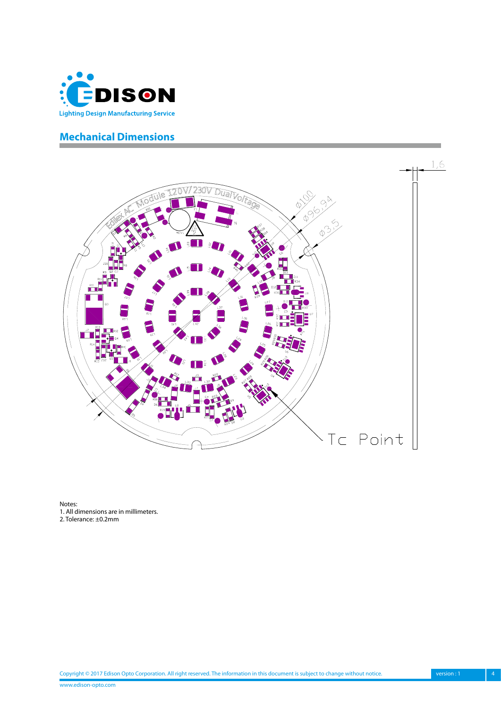<span id="page-3-0"></span>

## **Mechanical Dimensions**



Notes: 1. All dimensions are in millimeters. 2. Tolerance: ±0.2mm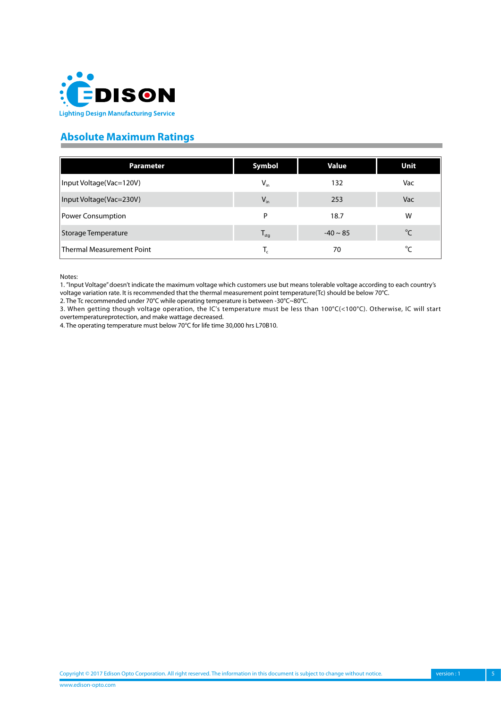<span id="page-4-0"></span>

# **Absolute Maximum Ratings**

| <b>Parameter</b>                 | Symbol           | <b>Value</b>  | Unit            |
|----------------------------------|------------------|---------------|-----------------|
| Input Voltage(Vac=120V)          | $V_{in}$         | 132           | Vac             |
| Input Voltage(Vac=230V)          | $V_{in}$         | 253           | Vac             |
| Power Consumption                | P                | 18.7          | W               |
| <b>Storage Temperature</b>       | $T_{\text{stg}}$ | $-40 \sim 85$ | $\rm ^{\circ}C$ |
| <b>Thermal Measurement Point</b> | Т,               | 70            | $^{\circ}C$     |

Notes:

1. "Input Voltage" doesn't indicate the maximum voltage which customers use but means tolerable voltage according to each country's

voltage variation rate. It is recommended that the thermal measurement point temperature(Tc) should be below 70°C. 2. The Tc recommended under 70°C while operating temperature is between -30°C~80°C.

3. When getting though voltage operation, the IC's temperature must be less than 100°C(<100°C). Otherwise, IC will start overtemperatureprotection, and make wattage decreased.

4. The operating temperature must below 70°C for life time 30,000 hrs L70B10.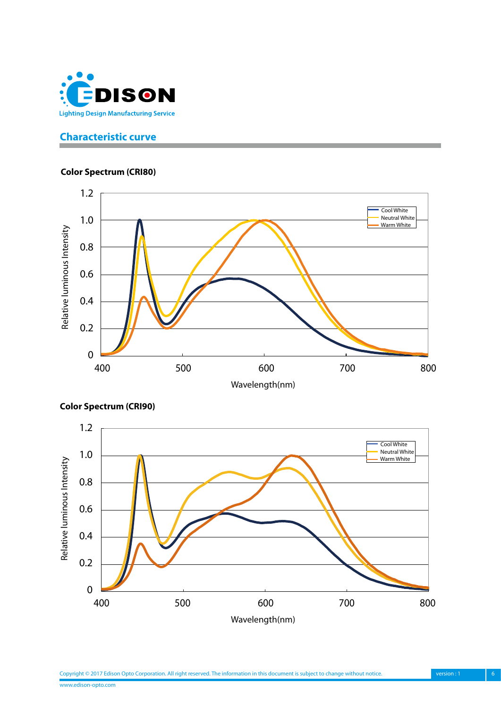<span id="page-5-0"></span>

## **Characteristic curve**

#### **Color Spectrum (CRI80)**



![](_page_5_Figure_4.jpeg)

**Color Spectrum (CRI90)**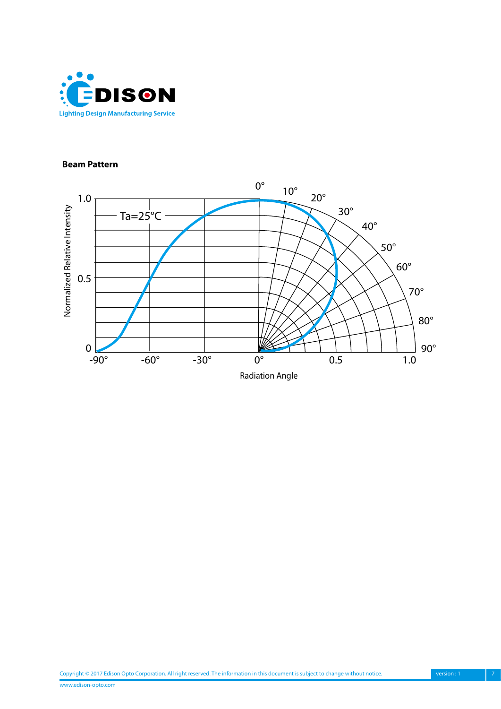![](_page_6_Picture_0.jpeg)

#### **Beam Pattern**

![](_page_6_Figure_2.jpeg)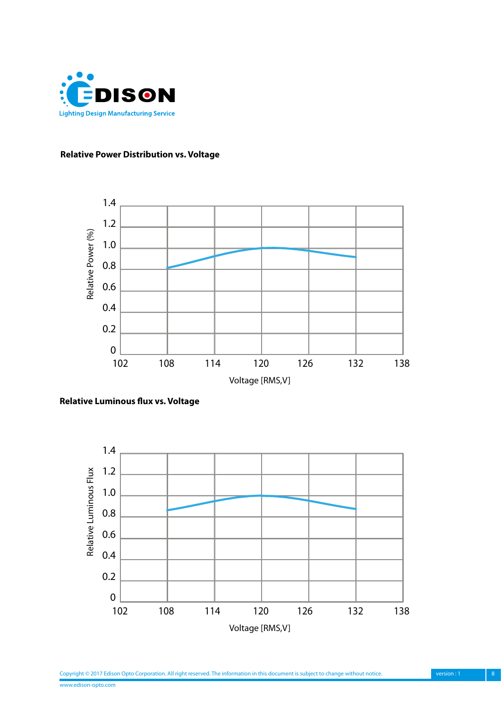![](_page_7_Picture_0.jpeg)

#### **Relative Power Distribution vs. Voltage**

![](_page_7_Figure_2.jpeg)

**Relative Luminous flux vs. Voltage**

![](_page_7_Figure_4.jpeg)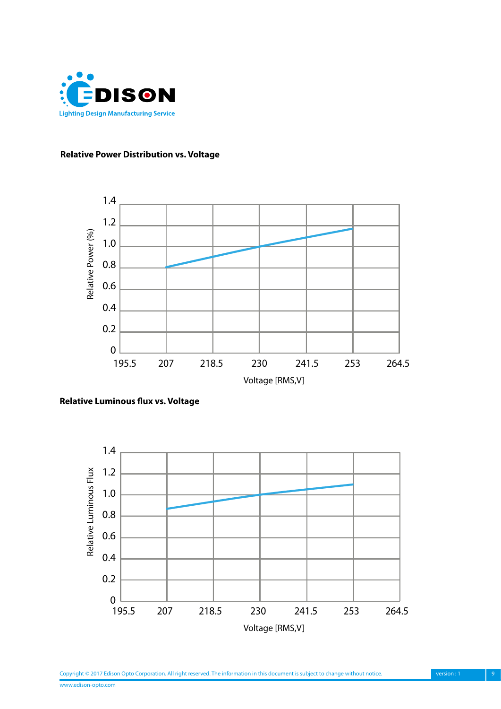![](_page_8_Picture_0.jpeg)

#### **Relative Power Distribution vs. Voltage**

![](_page_8_Figure_2.jpeg)

**Relative Luminous flux vs. Voltage**

![](_page_8_Figure_4.jpeg)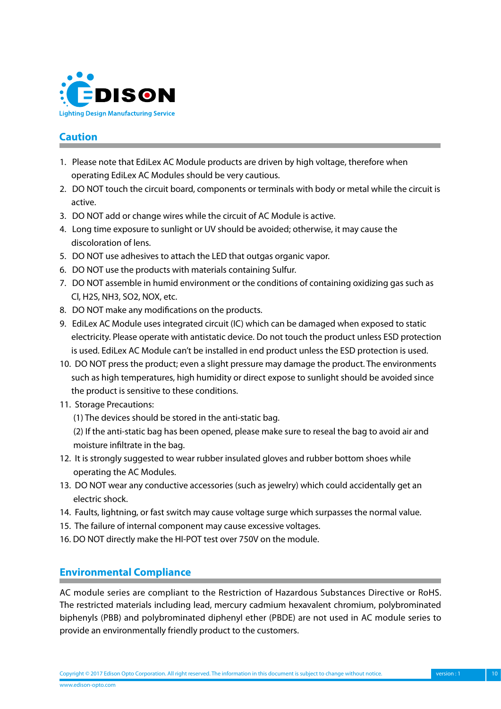<span id="page-9-0"></span>![](_page_9_Picture_0.jpeg)

## **Caution**

- 1. Please note that EdiLex AC Module products are driven by high voltage, therefore when operating EdiLex AC Modules should be very cautious.
- 2. DO NOT touch the circuit board, components or terminals with body or metal while the circuit is active.
- 3. DO NOT add or change wires while the circuit of AC Module is active.
- 4. Long time exposure to sunlight or UV should be avoided; otherwise, it may cause the discoloration of lens.
- 5. DO NOT use adhesives to attach the LED that outgas organic vapor.
- 6. DO NOT use the products with materials containing Sulfur.
- 7. DO NOT assemble in humid environment or the conditions of containing oxidizing gas such as Cl, H2S, NH3, SO2, NOX, etc.
- 8. DO NOT make any modifications on the products.
- 9. EdiLex AC Module uses integrated circuit (IC) which can be damaged when exposed to static electricity. Please operate with antistatic device. Do not touch the product unless ESD protection is used. EdiLex AC Module can't be installed in end product unless the ESD protection is used.
- 10. DO NOT press the product; even a slight pressure may damage the product. The environments such as high temperatures, high humidity or direct expose to sunlight should be avoided since the product is sensitive to these conditions.
- 11. Storage Precautions:
	- (1) The devices should be stored in the anti-static bag.
	- (2) If the anti-static bag has been opened, please make sure to reseal the bag to avoid air and moisture infiltrate in the bag.
- 12. It is strongly suggested to wear rubber insulated gloves and rubber bottom shoes while operating the AC Modules.
- 13. DO NOT wear any conductive accessories (such as jewelry) which could accidentally get an electric shock.
- 14. Faults, lightning, or fast switch may cause voltage surge which surpasses the normal value.
- 15. The failure of internal component may cause excessive voltages.
- 16. DO NOT directly make the HI-POT test over 750V on the module.

## **Environmental Compliance**

AC module series are compliant to the Restriction of Hazardous Substances Directive or RoHS. The restricted materials including lead, mercury cadmium hexavalent chromium, polybrominated biphenyls (PBB) and polybrominated diphenyl ether (PBDE) are not used in AC module series to provide an environmentally friendly product to the customers.